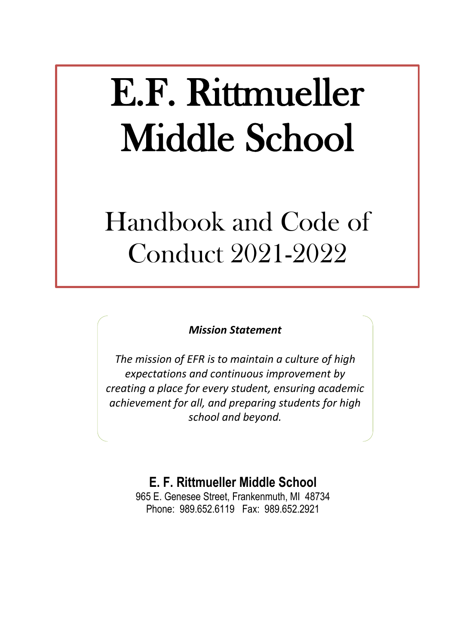# E.F. Rittmueller Middle School

# Handbook and Code of Conduct 2021-2022

# *Mission Statement*

*The mission of EFR is to maintain a culture of high expectations and continuous improvement by creating a place for every student, ensuring academic achievement for all, and preparing students for high school and beyond.*

> **E. F. Rittmueller Middle School** 965 E. Genesee Street, Frankenmuth, MI 48734 Phone: 989.652.6119 Fax: 989.652.2921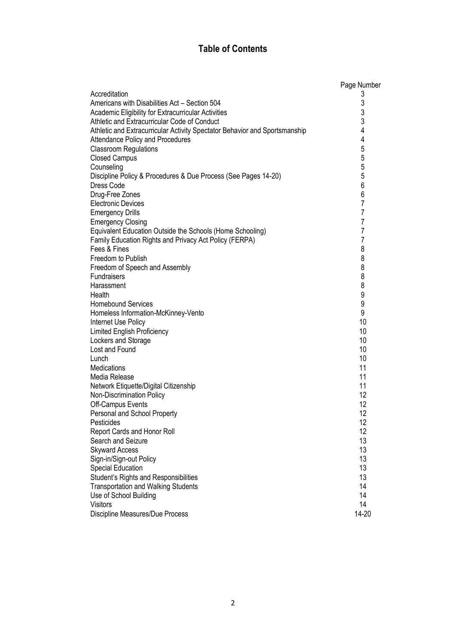# **Table of Contents**

|                                                                            | Page Number |
|----------------------------------------------------------------------------|-------------|
| Accreditation                                                              | 3           |
| Americans with Disabilities Act - Section 504                              | 3           |
| Academic Eligibility for Extracurricular Activities                        | 3           |
| Athletic and Extracurricular Code of Conduct                               | 3           |
| Athletic and Extracurricular Activity Spectator Behavior and Sportsmanship | 4           |
| Attendance Policy and Procedures                                           | 4           |
| <b>Classroom Regulations</b>                                               | 5           |
| <b>Closed Campus</b>                                                       | 5           |
| Counseling                                                                 | 5           |
| Discipline Policy & Procedures & Due Process (See Pages 14-20)             | 5           |
| Dress Code                                                                 | 6           |
| Drug-Free Zones                                                            | 6           |
| <b>Electronic Devices</b>                                                  | 7           |
| <b>Emergency Drills</b>                                                    | 7           |
| <b>Emergency Closing</b>                                                   | 7           |
| Equivalent Education Outside the Schools (Home Schooling)                  | 7           |
| Family Education Rights and Privacy Act Policy (FERPA)                     | 7           |
| Fees & Fines                                                               | 8           |
| Freedom to Publish                                                         | 8           |
| Freedom of Speech and Assembly                                             | 8           |
| <b>Fundraisers</b>                                                         | 8           |
| Harassment                                                                 | 8           |
| Health                                                                     | 9           |
| <b>Homebound Services</b>                                                  | 9           |
| Homeless Information-McKinney-Vento                                        | 9           |
| Internet Use Policy                                                        | 10          |
| <b>Limited English Proficiency</b>                                         | 10          |
| Lockers and Storage                                                        | 10          |
| Lost and Found                                                             | 10          |
| Lunch                                                                      | 10          |
| Medications                                                                | 11          |
| Media Release                                                              | 11          |
| Network Etiquette/Digital Citizenship                                      | 11          |
| Non-Discrimination Policy                                                  | 12          |
| Off-Campus Events                                                          | 12          |
| Personal and School Property                                               | 12          |
| Pesticides                                                                 | 12          |
| Report Cards and Honor Roll                                                | 12          |
| Search and Seizure                                                         | 13          |
| <b>Skyward Access</b>                                                      | 13          |
| Sign-in/Sign-out Policy                                                    | 13          |
| <b>Special Education</b>                                                   | 13          |
| Student's Rights and Responsibilities                                      | 13          |
| <b>Transportation and Walking Students</b>                                 | 14          |
| Use of School Building                                                     | 14          |
| Visitors                                                                   | 14          |
| Discipline Measures/Due Process                                            | 14-20       |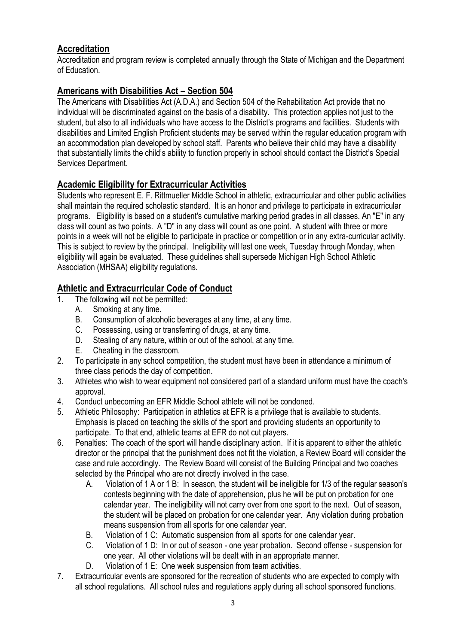#### **Accreditation**

Accreditation and program review is completed annually through the State of Michigan and the Department of Education.

#### **Americans with Disabilities Act – Section 504**

The Americans with Disabilities Act (A.D.A.) and Section 504 of the Rehabilitation Act provide that no individual will be discriminated against on the basis of a disability. This protection applies not just to the student, but also to all individuals who have access to the District's programs and facilities. Students with disabilities and Limited English Proficient students may be served within the regular education program with an accommodation plan developed by school staff. Parents who believe their child may have a disability that substantially limits the child's ability to function properly in school should contact the District's Special Services Department.

#### **Academic Eligibility for Extracurricular Activities**

Students who represent E. F. Rittmueller Middle School in athletic, extracurricular and other public activities shall maintain the required scholastic standard. It is an honor and privilege to participate in extracurricular programs. Eligibility is based on a student's cumulative marking period grades in all classes. An "E" in any class will count as two points. A "D" in any class will count as one point. A student with three or more points in a week will not be eligible to participate in practice or competition or in any extra-curricular activity. This is subject to review by the principal. Ineligibility will last one week, Tuesday through Monday, when eligibility will again be evaluated. These guidelines shall supersede Michigan High School Athletic Association (MHSAA) eligibility regulations.

#### **Athletic and Extracurricular Code of Conduct**

- 1. The following will not be permitted:
	- A. Smoking at any time.
	- B. Consumption of alcoholic beverages at any time, at any time.
	- C. Possessing, using or transferring of drugs, at any time.
	- D. Stealing of any nature, within or out of the school, at any time.
	- E. Cheating in the classroom.
- 2. To participate in any school competition, the student must have been in attendance a minimum of three class periods the day of competition.
- 3. Athletes who wish to wear equipment not considered part of a standard uniform must have the coach's approval.
- 4. Conduct unbecoming an EFR Middle School athlete will not be condoned.
- 5. Athletic Philosophy: Participation in athletics at EFR is a privilege that is available to students. Emphasis is placed on teaching the skills of the sport and providing students an opportunity to participate. To that end, athletic teams at EFR do not cut players.
- 6. Penalties: The coach of the sport will handle disciplinary action. If it is apparent to either the athletic director or the principal that the punishment does not fit the violation, a Review Board will consider the case and rule accordingly. The Review Board will consist of the Building Principal and two coaches selected by the Principal who are not directly involved in the case.
	- A. Violation of 1 A or 1 B: In season, the student will be ineligible for 1/3 of the regular season's contests beginning with the date of apprehension, plus he will be put on probation for one calendar year. The ineligibility will not carry over from one sport to the next. Out of season, the student will be placed on probation for one calendar year. Any violation during probation means suspension from all sports for one calendar year.
	- B. Violation of 1 C: Automatic suspension from all sports for one calendar year.
	- C. Violation of 1 D: In or out of season one year probation. Second offense suspension for one year. All other violations will be dealt with in an appropriate manner.
	- D. Violation of 1 E: One week suspension from team activities.
- 7. Extracurricular events are sponsored for the recreation of students who are expected to comply with all school regulations. All school rules and regulations apply during all school sponsored functions.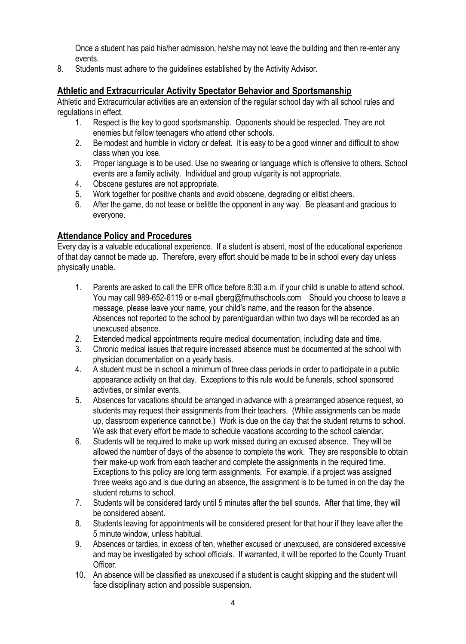Once a student has paid his/her admission, he/she may not leave the building and then re-enter any events.

8. Students must adhere to the guidelines established by the Activity Advisor.

#### **Athletic and Extracurricular Activity Spectator Behavior and Sportsmanship**

Athletic and Extracurricular activities are an extension of the regular school day with all school rules and regulations in effect.

- 1. Respect is the key to good sportsmanship. Opponents should be respected. They are not enemies but fellow teenagers who attend other schools.
- 2. Be modest and humble in victory or defeat. It is easy to be a good winner and difficult to show class when you lose.
- 3. Proper language is to be used. Use no swearing or language which is offensive to others. School events are a family activity. Individual and group vulgarity is not appropriate.
- 4. Obscene gestures are not appropriate.
- 5. Work together for positive chants and avoid obscene, degrading or elitist cheers.
- 6. After the game, do not tease or belittle the opponent in any way. Be pleasant and gracious to everyone.

#### **Attendance Policy and Procedures**

Every day is a valuable educational experience. If a student is absent, most of the educational experience of that day cannot be made up. Therefore, every effort should be made to be in school every day unless physically unable.

- 1. Parents are asked to call the EFR office before 8:30 a.m. if your child is unable to attend school. You may call 989-652-6119 or e-mail gberg@fmuthschools.com Should you choose to leave a message, please leave your name, your child's name, and the reason for the absence. Absences not reported to the school by parent/guardian within two days will be recorded as an unexcused absence.
- 2. Extended medical appointments require medical documentation, including date and time.
- 3. Chronic medical issues that require increased absence must be documented at the school with physician documentation on a yearly basis.
- 4. A student must be in school a minimum of three class periods in order to participate in a public appearance activity on that day. Exceptions to this rule would be funerals, school sponsored activities, or similar events.
- 5. Absences for vacations should be arranged in advance with a prearranged absence request, so students may request their assignments from their teachers. (While assignments can be made up, classroom experience cannot be.) Work is due on the day that the student returns to school. We ask that every effort be made to schedule vacations according to the school calendar.
- 6. Students will be required to make up work missed during an excused absence. They will be allowed the number of days of the absence to complete the work. They are responsible to obtain their make-up work from each teacher and complete the assignments in the required time. Exceptions to this policy are long term assignments. For example, if a project was assigned three weeks ago and is due during an absence, the assignment is to be turned in on the day the student returns to school.
- 7. Students will be considered tardy until 5 minutes after the bell sounds. After that time, they will be considered absent.
- 8. Students leaving for appointments will be considered present for that hour if they leave after the 5 minute window, unless habitual.
- 9. Absences or tardies, in excess of ten, whether excused or unexcused, are considered excessive and may be investigated by school officials. If warranted, it will be reported to the County Truant Officer.
- 10. An absence will be classified as unexcused if a student is caught skipping and the student will face disciplinary action and possible suspension.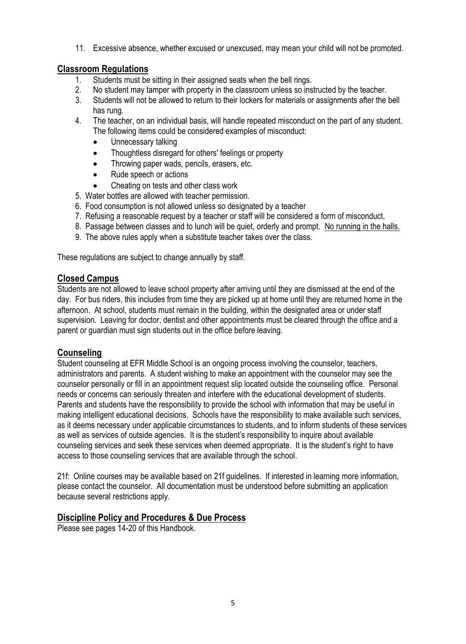11. Excessive absence, whether excused or unexcused, may mean your child will not be promoted.

#### **Classroom Regulations**

- 1. Students must be sitting in their assigned seats when the bell rings.
- 2. No student may tamper with property in the classroom unless so instructed by the teacher.
- 3. Students will not be allowed to return to their lockers for materials or assignments after the bell has rung.
- 4. The teacher, on an individual basis, will handle repeated misconduct on the part of any student. The following items could be considered examples of misconduct:
	- Unnecessary talking
	- Thoughtless disregard for others' feelings or property
	- Throwing paper wads, pencils, erasers, etc.
	- Rude speech or actions
	- Cheating on tests and other class work
- 5. Water bottles are allowed with teacher permission.
- 6. Food consumption is not allowed unless so designated by a teacher
- 7. Refusing a reasonable request by a teacher or staff will be considered a form of misconduct.
- 8. Passage between classes and to lunch will be quiet, orderly and prompt. No running in the halls.
- 9. The above rules apply when a substitute teacher takes over the class.

These regulations are subject to change annually by staff.

#### **Closed Campus**

Students are not allowed to leave school property after arriving until they are dismissed at the end of the day. For bus riders, this includes from time they are picked up at home until they are returned home in the afternoon. At school, students must remain in the building, within the designated area or under staff supervision. Leaving for doctor, dentist and other appointments must be cleared through the office and a parent or guardian must sign students out in the office before leaving.

#### **Counseling**

Student counseling at EFR Middle School is an ongoing process involving the counselor, teachers, administrators and parents. A student wishing to make an appointment with the counselor may see the counselor personally or fill in an appointment request slip located outside the counseling office. Personal needs or concerns can seriously threaten and interfere with the educational development of students. Parents and students have the responsibility to provide the school with information that may be useful in making intelligent educational decisions. Schools have the responsibility to make available such services, as it deems necessary under applicable circumstances to students, and to inform students of these services as well as services of outside agencies. It is the student's responsibility to inquire about available counseling services and seek these services when deemed appropriate. It is the student's right to have access to those counseling services that are available through the school.

21f: Online courses may be available based on 21f guidelines. If interested in learning more information, please contact the counselor. All documentation must be understood before submitting an application because several restrictions apply.

#### **Discipline Policy and Procedures & Due Process**

Please see pages 14-20 of this Handbook.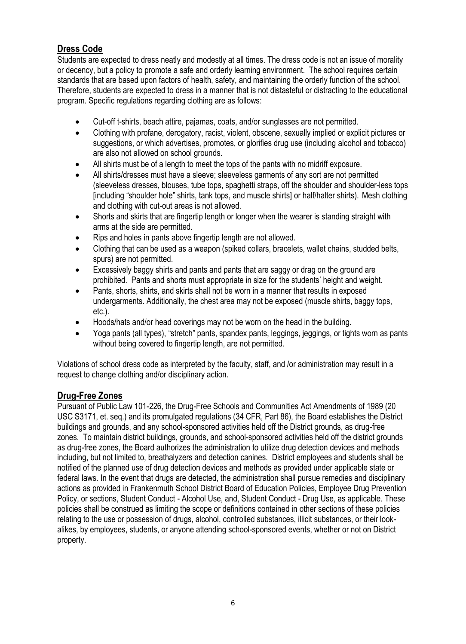#### **Dress Code**

Students are expected to dress neatly and modestly at all times. The dress code is not an issue of morality or decency, but a policy to promote a safe and orderly learning environment. The school requires certain standards that are based upon factors of health, safety, and maintaining the orderly function of the school. Therefore, students are expected to dress in a manner that is not distasteful or distracting to the educational program. Specific regulations regarding clothing are as follows:

- Cut-off t-shirts, beach attire, pajamas, coats, and/or sunglasses are not permitted.
- Clothing with profane, derogatory, racist, violent, obscene, sexually implied or explicit pictures or suggestions, or which advertises, promotes, or glorifies drug use (including alcohol and tobacco) are also not allowed on school grounds.
- All shirts must be of a length to meet the tops of the pants with no midriff exposure.
- All shirts/dresses must have a sleeve; sleeveless garments of any sort are not permitted (sleeveless dresses, blouses, tube tops, spaghetti straps, off the shoulder and shoulder-less tops [including "shoulder hole" shirts, tank tops, and muscle shirts] or half/halter shirts). Mesh clothing and clothing with cut-out areas is not allowed.
- Shorts and skirts that are fingertip length or longer when the wearer is standing straight with arms at the side are permitted.
- Rips and holes in pants above fingertip length are not allowed.
- Clothing that can be used as a weapon (spiked collars, bracelets, wallet chains, studded belts, spurs) are not permitted.
- Excessively baggy shirts and pants and pants that are saggy or drag on the ground are prohibited. Pants and shorts must appropriate in size for the students' height and weight.
- Pants, shorts, shirts, and skirts shall not be worn in a manner that results in exposed undergarments. Additionally, the chest area may not be exposed (muscle shirts, baggy tops, etc.).
- Hoods/hats and/or head coverings may not be worn on the head in the building.
- Yoga pants (all types), "stretch" pants, spandex pants, leggings, jeggings, or tights worn as pants without being covered to fingertip length, are not permitted.

Violations of school dress code as interpreted by the faculty, staff, and /or administration may result in a request to change clothing and/or disciplinary action.

#### **Drug-Free Zones**

Pursuant of Public Law 101-226, the Drug-Free Schools and Communities Act Amendments of 1989 (20 USC S3171, et. seq.) and its promulgated regulations (34 CFR, Part 86), the Board establishes the District buildings and grounds, and any school-sponsored activities held off the District grounds, as drug-free zones. To maintain district buildings, grounds, and school-sponsored activities held off the district grounds as drug-free zones, the Board authorizes the administration to utilize drug detection devices and methods including, but not limited to, breathalyzers and detection canines. District employees and students shall be notified of the planned use of drug detection devices and methods as provided under applicable state or federal laws. In the event that drugs are detected, the administration shall pursue remedies and disciplinary actions as provided in Frankenmuth School District Board of Education Policies, Employee Drug Prevention Policy, or sections, Student Conduct - Alcohol Use, and, Student Conduct - Drug Use, as applicable. These policies shall be construed as limiting the scope or definitions contained in other sections of these policies relating to the use or possession of drugs, alcohol, controlled substances, illicit substances, or their lookalikes, by employees, students, or anyone attending school-sponsored events, whether or not on District property.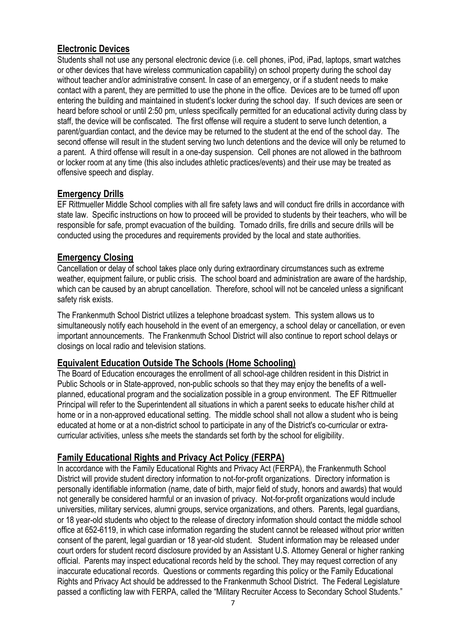#### **Electronic Devices**

Students shall not use any personal electronic device (i.e. cell phones, iPod, iPad, laptops, smart watches or other devices that have wireless communication capability) on school property during the school day without teacher and/or administrative consent. In case of an emergency, or if a student needs to make contact with a parent, they are permitted to use the phone in the office. Devices are to be turned off upon entering the building and maintained in student's locker during the school day. If such devices are seen or heard before school or until 2:50 pm, unless specifically permitted for an educational activity during class by staff, the device will be confiscated. The first offense will require a student to serve lunch detention, a parent/guardian contact, and the device may be returned to the student at the end of the school day. The second offense will result in the student serving two lunch detentions and the device will only be returned to a parent. A third offense will result in a one-day suspension. Cell phones are not allowed in the bathroom or locker room at any time (this also includes athletic practices/events) and their use may be treated as offensive speech and display.

#### **Emergency Drills**

EF Rittmueller Middle School complies with all fire safety laws and will conduct fire drills in accordance with state law. Specific instructions on how to proceed will be provided to students by their teachers, who will be responsible for safe, prompt evacuation of the building. Tornado drills, fire drills and secure drills will be conducted using the procedures and requirements provided by the local and state authorities.

#### **Emergency Closing**

Cancellation or delay of school takes place only during extraordinary circumstances such as extreme weather, equipment failure, or public crisis. The school board and administration are aware of the hardship, which can be caused by an abrupt cancellation. Therefore, school will not be canceled unless a significant safety risk exists.

The Frankenmuth School District utilizes a telephone broadcast system. This system allows us to simultaneously notify each household in the event of an emergency, a school delay or cancellation, or even important announcements. The Frankenmuth School District will also continue to report school delays or closings on local radio and television stations.

#### **Equivalent Education Outside The Schools (Home Schooling)**

The Board of Education encourages the enrollment of all school-age children resident in this District in Public Schools or in State-approved, non-public schools so that they may enjoy the benefits of a wellplanned, educational program and the socialization possible in a group environment. The EF Rittmueller Principal will refer to the Superintendent all situations in which a parent seeks to educate his/her child at home or in a non-approved educational setting. The middle school shall not allow a student who is being educated at home or at a non-district school to participate in any of the District's co-curricular or extracurricular activities, unless s/he meets the standards set forth by the school for eligibility.

#### **Family Educational Rights and Privacy Act Policy (FERPA)**

In accordance with the Family Educational Rights and Privacy Act (FERPA), the Frankenmuth School District will provide student directory information to not-for-profit organizations. Directory information is personally identifiable information (name, date of birth, major field of study, honors and awards) that would not generally be considered harmful or an invasion of privacy. Not-for-profit organizations would include universities, military services, alumni groups, service organizations, and others. Parents, legal guardians, or 18 year-old students who object to the release of directory information should contact the middle school office at 652-6119, in which case information regarding the student cannot be released without prior written consent of the parent, legal guardian or 18 year-old student. Student information may be released under court orders for student record disclosure provided by an Assistant U.S. Attorney General or higher ranking official. Parents may inspect educational records held by the school. They may request correction of any inaccurate educational records. Questions or comments regarding this policy or the Family Educational Rights and Privacy Act should be addressed to the Frankenmuth School District. The Federal Legislature passed a conflicting law with FERPA, called the "Military Recruiter Access to Secondary School Students."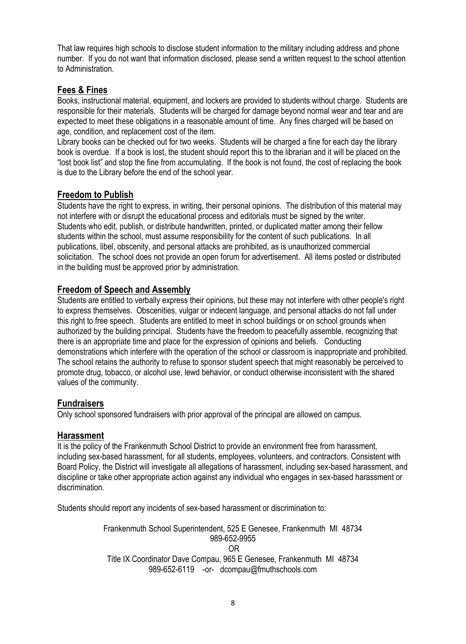That law requires high schools to disclose student information to the military including address and phone number. If you do not want that information disclosed, please send a written request to the school attention to Administration.

#### **Fees & Fines**

Books, instructional material, equipment, and lockers are provided to students without charge. Students are responsible for their materials. Students will be charged for damage beyond normal wear and tear and are expected to meet these obligations in a reasonable amount of time. Any fines charged will be based on age, condition, and replacement cost of the item.

Library books can be checked out for two weeks. Students will be charged a fine for each day the library book is overdue. If a book is lost, the student should report this to the librarian and it will be placed on the "lost book list" and stop the fine from accumulating. If the book is not found, the cost of replacing the book is due to the Library before the end of the school year.

#### **Freedom to Publish**

Students have the right to express, in writing, their personal opinions. The distribution of this material may not interfere with or disrupt the educational process and editorials must be signed by the writer. Students who edit, publish, or distribute handwritten, printed, or duplicated matter among their fellow students within the school, must assume responsibility for the content of such publications. In all publications, libel, obscenity, and personal attacks are prohibited, as is unauthorized commercial solicitation. The school does not provide an open forum for advertisement. All items posted or distributed in the building must be approved prior by administration.

#### **Freedom of Speech and Assembly**

Students are entitled to verbally express their opinions, but these may not interfere with other people's right to express themselves. Obscenities, vulgar or indecent language, and personal attacks do not fall under this right to free speech. Students are entitled to meet in school buildings or on school grounds when authorized by the building principal. Students have the freedom to peacefully assemble, recognizing that there is an appropriate time and place for the expression of opinions and beliefs. Conducting demonstrations which interfere with the operation of the school or classroom is inappropriate and prohibited. The school retains the authority to refuse to sponsor student speech that might reasonably be perceived to promote drug, tobacco, or alcohol use, lewd behavior, or conduct otherwise inconsistent with the shared values of the community.

#### **Fundraisers**

Only school sponsored fundraisers with prior approval of the principal are allowed on campus.

#### **Harassment**

It is the policy of the Frankenmuth School District to provide an environment free from harassment, including sex-based harassment, for all students, employees, volunteers, and contractors. Consistent with Board Policy, the District will investigate all allegations of harassment, including sex-based harassment, and discipline or take other appropriate action against any individual who engages in sex-based harassment or discrimination.

Students should report any incidents of sex-based harassment or discrimination to:

Frankenmuth School Superintendent, 525 E Genesee, Frankenmuth MI 48734 989-652-9955 OR Title IX Coordinator Dave Compau, 965 E Genesee, Frankenmuth MI 48734 989-652-6119 -or- dcompau@fmuthschools.com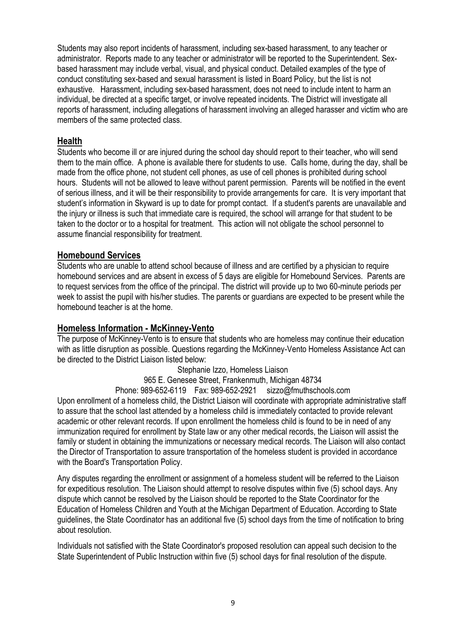Students may also report incidents of harassment, including sex-based harassment, to any teacher or administrator. Reports made to any teacher or administrator will be reported to the Superintendent. Sexbased harassment may include verbal, visual, and physical conduct. Detailed examples of the type of conduct constituting sex-based and sexual harassment is listed in Board Policy, but the list is not exhaustive. Harassment, including sex-based harassment, does not need to include intent to harm an individual, be directed at a specific target, or involve repeated incidents. The District will investigate all reports of harassment, including allegations of harassment involving an alleged harasser and victim who are members of the same protected class.

#### **Health**

Students who become ill or are injured during the school day should report to their teacher, who will send them to the main office. A phone is available there for students to use. Calls home, during the day, shall be made from the office phone, not student cell phones, as use of cell phones is prohibited during school hours. Students will not be allowed to leave without parent permission. Parents will be notified in the event of serious illness, and it will be their responsibility to provide arrangements for care. It is very important that student's information in Skyward is up to date for prompt contact. If a student's parents are unavailable and the injury or illness is such that immediate care is required, the school will arrange for that student to be taken to the doctor or to a hospital for treatment. This action will not obligate the school personnel to assume financial responsibility for treatment.

#### **Homebound Services**

Students who are unable to attend school because of illness and are certified by a physician to require homebound services and are absent in excess of 5 days are eligible for Homebound Services. Parents are to request services from the office of the principal. The district will provide up to two 60-minute periods per week to assist the pupil with his/her studies. The parents or guardians are expected to be present while the homebound teacher is at the home.

#### **Homeless Information - McKinney-Vento**

The purpose of McKinney-Vento is to ensure that students who are homeless may continue their education with as little disruption as possible. Questions regarding the McKinney-Vento Homeless Assistance Act can be directed to the District Liaison listed below:

Stephanie Izzo, Homeless Liaison

965 E. Genesee Street, Frankenmuth, Michigan 48734

Phone: 989-652-6119 Fax: 989-652-2921 sizzo@fmuthschools.com

Upon enrollment of a homeless child, the District Liaison will coordinate with appropriate administrative staff to assure that the school last attended by a homeless child is immediately contacted to provide relevant academic or other relevant records. If upon enrollment the homeless child is found to be in need of any immunization required for enrollment by State law or any other medical records, the Liaison will assist the family or student in obtaining the immunizations or necessary medical records. The Liaison will also contact the Director of Transportation to assure transportation of the homeless student is provided in accordance with the Board's Transportation Policy.

Any disputes regarding the enrollment or assignment of a homeless student will be referred to the Liaison for expeditious resolution. The Liaison should attempt to resolve disputes within five (5) school days. Any dispute which cannot be resolved by the Liaison should be reported to the State Coordinator for the Education of Homeless Children and Youth at the Michigan Department of Education. According to State guidelines, the State Coordinator has an additional five (5) school days from the time of notification to bring about resolution.

Individuals not satisfied with the State Coordinator's proposed resolution can appeal such decision to the State Superintendent of Public Instruction within five (5) school days for final resolution of the dispute.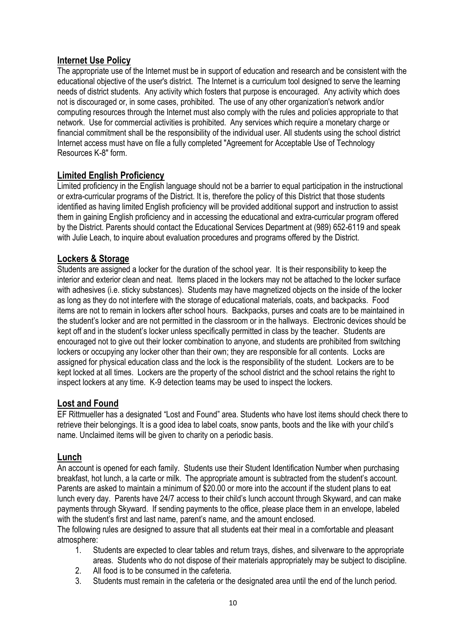#### **Internet Use Policy**

The appropriate use of the Internet must be in support of education and research and be consistent with the educational objective of the user's district. The Internet is a curriculum tool designed to serve the learning needs of district students. Any activity which fosters that purpose is encouraged. Any activity which does not is discouraged or, in some cases, prohibited. The use of any other organization's network and/or computing resources through the Internet must also comply with the rules and policies appropriate to that network. Use for commercial activities is prohibited. Any services which require a monetary charge or financial commitment shall be the responsibility of the individual user. All students using the school district Internet access must have on file a fully completed "Agreement for Acceptable Use of Technology Resources K-8" form.

#### **Limited English Proficiency**

Limited proficiency in the English language should not be a barrier to equal participation in the instructional or extra-curricular programs of the District. It is, therefore the policy of this District that those students identified as having limited English proficiency will be provided additional support and instruction to assist them in gaining English proficiency and in accessing the educational and extra-curricular program offered by the District. Parents should contact the Educational Services Department at (989) 652-6119 and speak with Julie Leach, to inquire about evaluation procedures and programs offered by the District.

#### **Lockers & Storage**

Students are assigned a locker for the duration of the school year. It is their responsibility to keep the interior and exterior clean and neat. Items placed in the lockers may not be attached to the locker surface with adhesives (i.e. sticky substances). Students may have magnetized objects on the inside of the locker as long as they do not interfere with the storage of educational materials, coats, and backpacks. Food items are not to remain in lockers after school hours. Backpacks, purses and coats are to be maintained in the student's locker and are not permitted in the classroom or in the hallways. Electronic devices should be kept off and in the student's locker unless specifically permitted in class by the teacher. Students are encouraged not to give out their locker combination to anyone, and students are prohibited from switching lockers or occupying any locker other than their own; they are responsible for all contents. Locks are assigned for physical education class and the lock is the responsibility of the student. Lockers are to be kept locked at all times. Lockers are the property of the school district and the school retains the right to inspect lockers at any time. K-9 detection teams may be used to inspect the lockers.

#### **Lost and Found**

EF Rittmueller has a designated "Lost and Found" area. Students who have lost items should check there to retrieve their belongings. It is a good idea to label coats, snow pants, boots and the like with your child's name. Unclaimed items will be given to charity on a periodic basis.

#### **Lunch**

An account is opened for each family. Students use their Student Identification Number when purchasing breakfast, hot lunch, a la carte or milk. The appropriate amount is subtracted from the student's account. Parents are asked to maintain a minimum of \$20.00 or more into the account if the student plans to eat lunch every day. Parents have 24/7 access to their child's lunch account through Skyward, and can make payments through Skyward. If sending payments to the office, please place them in an envelope, labeled with the student's first and last name, parent's name, and the amount enclosed.

The following rules are designed to assure that all students eat their meal in a comfortable and pleasant atmosphere:

- 1. Students are expected to clear tables and return trays, dishes, and silverware to the appropriate areas. Students who do not dispose of their materials appropriately may be subject to discipline.
- 2. All food is to be consumed in the cafeteria.
- 3. Students must remain in the cafeteria or the designated area until the end of the lunch period.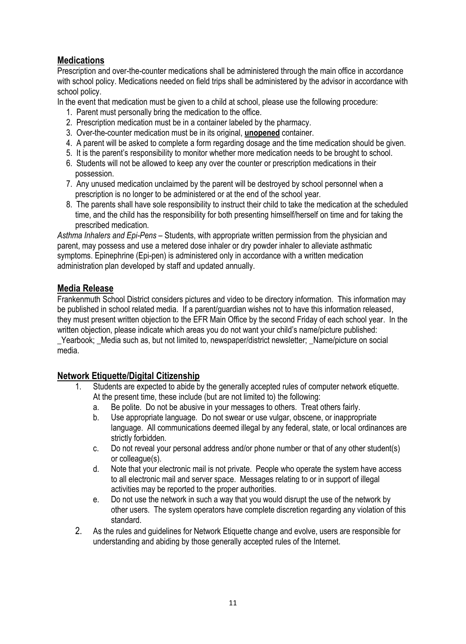### **Medications**

Prescription and over-the-counter medications shall be administered through the main office in accordance with school policy. Medications needed on field trips shall be administered by the advisor in accordance with school policy.

In the event that medication must be given to a child at school, please use the following procedure:

- 1. Parent must personally bring the medication to the office.
- 2. Prescription medication must be in a container labeled by the pharmacy.
- 3. Over-the-counter medication must be in its original, **unopened** container.
- 4. A parent will be asked to complete a form regarding dosage and the time medication should be given.
- 5. It is the parent's responsibility to monitor whether more medication needs to be brought to school.
- 6. Students will not be allowed to keep any over the counter or prescription medications in their possession.
- 7. Any unused medication unclaimed by the parent will be destroyed by school personnel when a prescription is no longer to be administered or at the end of the school year.
- 8. The parents shall have sole responsibility to instruct their child to take the medication at the scheduled time, and the child has the responsibility for both presenting himself/herself on time and for taking the prescribed medication.

*Asthma Inhalers and Epi-Pens* – Students, with appropriate written permission from the physician and parent, may possess and use a metered dose inhaler or dry powder inhaler to alleviate asthmatic symptoms. Epinephrine (Epi-pen) is administered only in accordance with a written medication administration plan developed by staff and updated annually.

#### **Media Release**

Frankenmuth School District considers pictures and video to be directory information. This information may be published in school related media. If a parent/guardian wishes not to have this information released, they must present written objection to the EFR Main Office by the second Friday of each school year. In the written objection, please indicate which areas you do not want your child's name/picture published: \_Yearbook; \_Media such as, but not limited to, newspaper/district newsletter; \_Name/picture on social media.

#### **Network Etiquette/Digital Citizenship**

- 1. Students are expected to abide by the generally accepted rules of computer network etiquette. At the present time, these include (but are not limited to) the following:
	- a. Be polite. Do not be abusive in your messages to others. Treat others fairly.
	- b. Use appropriate language. Do not swear or use vulgar, obscene, or inappropriate language. All communications deemed illegal by any federal, state, or local ordinances are strictly forbidden.
	- c. Do not reveal your personal address and/or phone number or that of any other student(s) or colleague(s).
	- d. Note that your electronic mail is not private. People who operate the system have access to all electronic mail and server space. Messages relating to or in support of illegal activities may be reported to the proper authorities.
	- e. Do not use the network in such a way that you would disrupt the use of the network by other users. The system operators have complete discretion regarding any violation of this standard.
- 2. As the rules and guidelines for Network Etiquette change and evolve, users are responsible for understanding and abiding by those generally accepted rules of the Internet.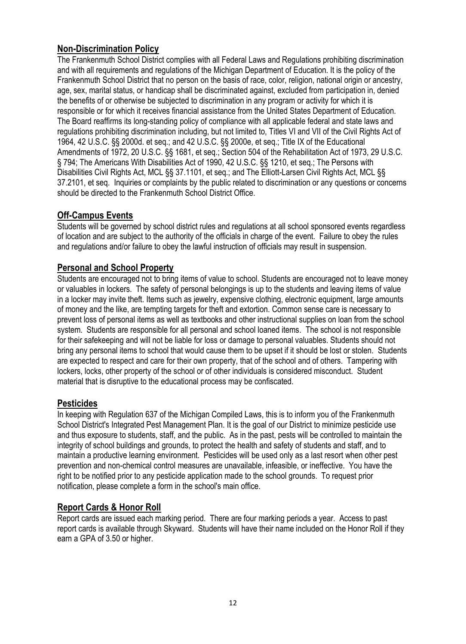#### **Non-Discrimination Policy**

The Frankenmuth School District complies with all Federal Laws and Regulations prohibiting discrimination and with all requirements and regulations of the Michigan Department of Education. It is the policy of the Frankenmuth School District that no person on the basis of race, color, religion, national origin or ancestry, age, sex, marital status, or handicap shall be discriminated against, excluded from participation in, denied the benefits of or otherwise be subjected to discrimination in any program or activity for which it is responsible or for which it receives financial assistance from the United States Department of Education. The Board reaffirms its long-standing policy of compliance with all applicable federal and state laws and regulations prohibiting discrimination including, but not limited to, Titles VI and VII of the Civil Rights Act of 1964, 42 U.S.C. §§ 2000d. et seq.; and 42 U.S.C. §§ 2000e, et seq.; Title IX of the Educational Amendments of 1972, 20 U.S.C. §§ 1681, et seq.; Section 504 of the Rehabilitation Act of 1973, 29 U.S.C. § 794; The Americans With Disabilities Act of 1990, 42 U.S.C. §§ 1210, et seq.; The Persons with Disabilities Civil Rights Act, MCL §§ 37.1101, et seq.; and The Elliott-Larsen Civil Rights Act, MCL §§ 37.2101, et seq. Inquiries or complaints by the public related to discrimination or any questions or concerns should be directed to the Frankenmuth School District Office.

#### **Off-Campus Events**

Students will be governed by school district rules and regulations at all school sponsored events regardless of location and are subject to the authority of the officials in charge of the event. Failure to obey the rules and regulations and/or failure to obey the lawful instruction of officials may result in suspension.

#### **Personal and School Property**

Students are encouraged not to bring items of value to school. Students are encouraged not to leave money or valuables in lockers. The safety of personal belongings is up to the students and leaving items of value in a locker may invite theft. Items such as jewelry, expensive clothing, electronic equipment, large amounts of money and the like, are tempting targets for theft and extortion. Common sense care is necessary to prevent loss of personal items as well as textbooks and other instructional supplies on loan from the school system. Students are responsible for all personal and school loaned items. The school is not responsible for their safekeeping and will not be liable for loss or damage to personal valuables. Students should not bring any personal items to school that would cause them to be upset if it should be lost or stolen. Students are expected to respect and care for their own property, that of the school and of others. Tampering with lockers, locks, other property of the school or of other individuals is considered misconduct. Student material that is disruptive to the educational process may be confiscated.

#### **Pesticides**

In keeping with Regulation 637 of the Michigan Compiled Laws, this is to inform you of the Frankenmuth School District's Integrated Pest Management Plan. It is the goal of our District to minimize pesticide use and thus exposure to students, staff, and the public. As in the past, pests will be controlled to maintain the integrity of school buildings and grounds, to protect the health and safety of students and staff, and to maintain a productive learning environment. Pesticides will be used only as a last resort when other pest prevention and non-chemical control measures are unavailable, infeasible, or ineffective. You have the right to be notified prior to any pesticide application made to the school grounds. To request prior notification, please complete a form in the school's main office.

#### **Report Cards & Honor Roll**

Report cards are issued each marking period. There are four marking periods a year. Access to past report cards is available through Skyward. Students will have their name included on the Honor Roll if they earn a GPA of 3.50 or higher.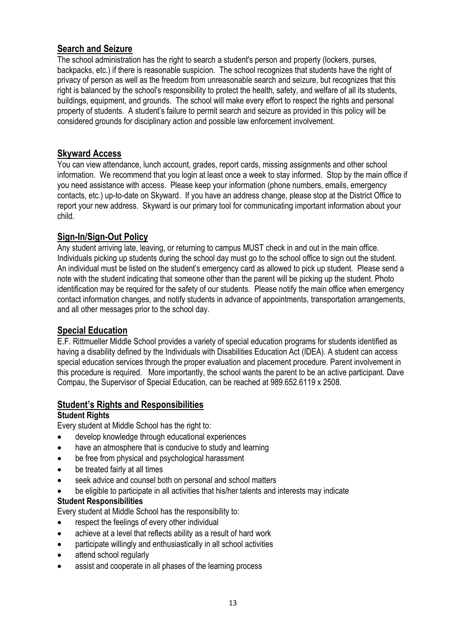#### **Search and Seizure**

The school administration has the right to search a student's person and property (lockers, purses, backpacks, etc.) if there is reasonable suspicion. The school recognizes that students have the right of privacy of person as well as the freedom from unreasonable search and seizure, but recognizes that this right is balanced by the school's responsibility to protect the health, safety, and welfare of all its students, buildings, equipment, and grounds. The school will make every effort to respect the rights and personal property of students. A student's failure to permit search and seizure as provided in this policy will be considered grounds for disciplinary action and possible law enforcement involvement.

#### **Skyward Access**

You can view attendance, lunch account, grades, report cards, missing assignments and other school information. We recommend that you login at least once a week to stay informed. Stop by the main office if you need assistance with access. Please keep your information (phone numbers, emails, emergency contacts, etc.) up-to-date on Skyward. If you have an address change, please stop at the District Office to report your new address. Skyward is our primary tool for communicating important information about your child.

#### **Sign-In/Sign-Out Policy**

Any student arriving late, leaving, or returning to campus MUST check in and out in the main office. Individuals picking up students during the school day must go to the school office to sign out the student. An individual must be listed on the student's emergency card as allowed to pick up student. Please send a note with the student indicating that someone other than the parent will be picking up the student. Photo identification may be required for the safety of our students. Please notify the main office when emergency contact information changes, and notify students in advance of appointments, transportation arrangements, and all other messages prior to the school day.

#### **Special Education**

E.F. Rittmueller Middle School provides a variety of special education programs for students identified as having a disability defined by the Individuals with Disabilities Education Act (IDEA). A student can access special education services through the proper evaluation and placement procedure. Parent involvement in this procedure is required. More importantly, the school wants the parent to be an active participant. Dave Compau, the Supervisor of Special Education, can be reached at 989.652.6119 x 2508.

#### **Student's Rights and Responsibilities**

#### **Student Rights**

Every student at Middle School has the right to:

- develop knowledge through educational experiences
- have an atmosphere that is conducive to study and learning
- be free from physical and psychological harassment
- be treated fairly at all times
- seek advice and counsel both on personal and school matters
- be eligible to participate in all activities that his/her talents and interests may indicate

#### **Student Responsibilities**

Every student at Middle School has the responsibility to:

- respect the feelings of every other individual
- achieve at a level that reflects ability as a result of hard work
- participate willingly and enthusiastically in all school activities
- attend school regularly
- assist and cooperate in all phases of the learning process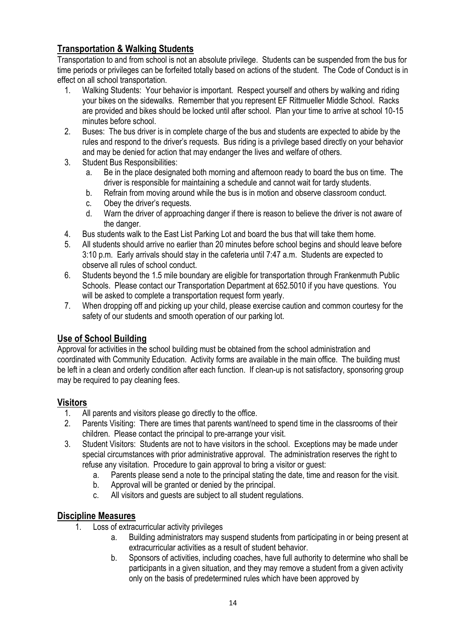#### **Transportation & Walking Students**

Transportation to and from school is not an absolute privilege. Students can be suspended from the bus for time periods or privileges can be forfeited totally based on actions of the student. The Code of Conduct is in effect on all school transportation.

- 1. Walking Students: Your behavior is important. Respect yourself and others by walking and riding your bikes on the sidewalks. Remember that you represent EF Rittmueller Middle School. Racks are provided and bikes should be locked until after school. Plan your time to arrive at school 10-15 minutes before school.
- 2. Buses: The bus driver is in complete charge of the bus and students are expected to abide by the rules and respond to the driver's requests. Bus riding is a privilege based directly on your behavior and may be denied for action that may endanger the lives and welfare of others.
- 3. Student Bus Responsibilities:
	- a. Be in the place designated both morning and afternoon ready to board the bus on time. The driver is responsible for maintaining a schedule and cannot wait for tardy students.
	- b. Refrain from moving around while the bus is in motion and observe classroom conduct.
	- c. Obey the driver's requests.
	- d. Warn the driver of approaching danger if there is reason to believe the driver is not aware of the danger.
- 4. Bus students walk to the East List Parking Lot and board the bus that will take them home.
- 5. All students should arrive no earlier than 20 minutes before school begins and should leave before 3:10 p.m. Early arrivals should stay in the cafeteria until 7:47 a.m. Students are expected to observe all rules of school conduct.
- 6. Students beyond the 1.5 mile boundary are eligible for transportation through Frankenmuth Public Schools. Please contact our Transportation Department at 652.5010 if you have questions. You will be asked to complete a transportation request form yearly.
- 7. When dropping off and picking up your child, please exercise caution and common courtesy for the safety of our students and smooth operation of our parking lot.

#### **Use of School Building**

Approval for activities in the school building must be obtained from the school administration and coordinated with Community Education. Activity forms are available in the main office. The building must be left in a clean and orderly condition after each function. If clean-up is not satisfactory, sponsoring group may be required to pay cleaning fees.

#### **Visitors**

- 1. All parents and visitors please go directly to the office.
- 2. Parents Visiting: There are times that parents want/need to spend time in the classrooms of their children. Please contact the principal to pre-arrange your visit.
- 3. Student Visitors: Students are not to have visitors in the school. Exceptions may be made under special circumstances with prior administrative approval. The administration reserves the right to refuse any visitation. Procedure to gain approval to bring a visitor or guest:
	- a. Parents please send a note to the principal stating the date, time and reason for the visit.
	- b. Approval will be granted or denied by the principal.
	- c. All visitors and guests are subject to all student regulations.

#### **Discipline Measures**

- 1. Loss of extracurricular activity privileges
	- a. Building administrators may suspend students from participating in or being present at extracurricular activities as a result of student behavior.
	- b. Sponsors of activities, including coaches, have full authority to determine who shall be participants in a given situation, and they may remove a student from a given activity only on the basis of predetermined rules which have been approved by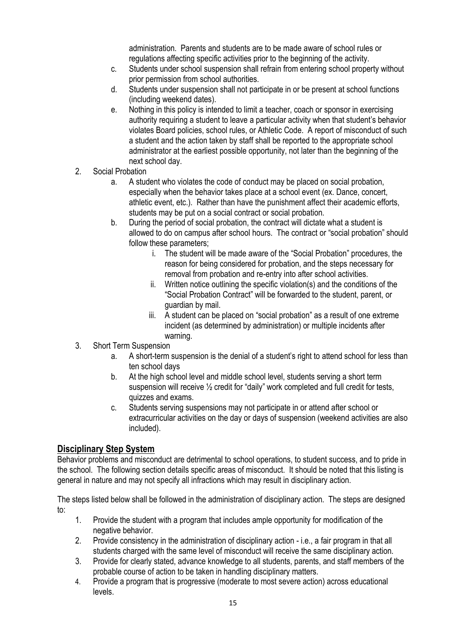administration. Parents and students are to be made aware of school rules or regulations affecting specific activities prior to the beginning of the activity.

- c. Students under school suspension shall refrain from entering school property without prior permission from school authorities.
- d. Students under suspension shall not participate in or be present at school functions (including weekend dates).
- e. Nothing in this policy is intended to limit a teacher, coach or sponsor in exercising authority requiring a student to leave a particular activity when that student's behavior violates Board policies, school rules, or Athletic Code. A report of misconduct of such a student and the action taken by staff shall be reported to the appropriate school administrator at the earliest possible opportunity, not later than the beginning of the next school day.
- 2. Social Probation
	- a. A student who violates the code of conduct may be placed on social probation, especially when the behavior takes place at a school event (ex. Dance, concert, athletic event, etc.). Rather than have the punishment affect their academic efforts, students may be put on a social contract or social probation.
	- b. During the period of social probation, the contract will dictate what a student is allowed to do on campus after school hours. The contract or "social probation" should follow these parameters;
		- i. The student will be made aware of the "Social Probation" procedures, the reason for being considered for probation, and the steps necessary for removal from probation and re-entry into after school activities.
		- ii. Written notice outlining the specific violation(s) and the conditions of the "Social Probation Contract" will be forwarded to the student, parent, or guardian by mail.
		- iii. A student can be placed on "social probation" as a result of one extreme incident (as determined by administration) or multiple incidents after warning.
- 3. Short Term Suspension
	- a. A short-term suspension is the denial of a student's right to attend school for less than ten school days
	- b. At the high school level and middle school level, students serving a short term suspension will receive ½ credit for "daily" work completed and full credit for tests, quizzes and exams.
	- c. Students serving suspensions may not participate in or attend after school or extracurricular activities on the day or days of suspension (weekend activities are also included).

#### **Disciplinary Step System**

Behavior problems and misconduct are detrimental to school operations, to student success, and to pride in the school. The following section details specific areas of misconduct. It should be noted that this listing is general in nature and may not specify all infractions which may result in disciplinary action.

The steps listed below shall be followed in the administration of disciplinary action. The steps are designed to:

- 1. Provide the student with a program that includes ample opportunity for modification of the negative behavior.
- 2. Provide consistency in the administration of disciplinary action i.e., a fair program in that all students charged with the same level of misconduct will receive the same disciplinary action.
- 3. Provide for clearly stated, advance knowledge to all students, parents, and staff members of the probable course of action to be taken in handling disciplinary matters.
- 4. Provide a program that is progressive (moderate to most severe action) across educational levels.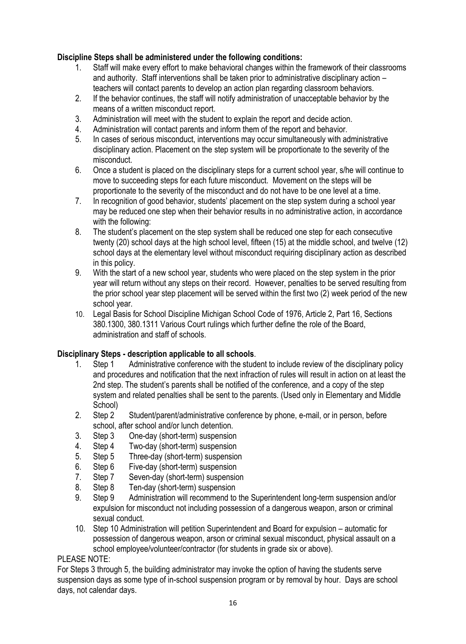#### **Discipline Steps shall be administered under the following conditions:**

- 1. Staff will make every effort to make behavioral changes within the framework of their classrooms and authority. Staff interventions shall be taken prior to administrative disciplinary action – teachers will contact parents to develop an action plan regarding classroom behaviors.
- 2. If the behavior continues, the staff will notify administration of unacceptable behavior by the means of a written misconduct report.
- 3. Administration will meet with the student to explain the report and decide action.
- 4. Administration will contact parents and inform them of the report and behavior.
- 5. In cases of serious misconduct, interventions may occur simultaneously with administrative disciplinary action. Placement on the step system will be proportionate to the severity of the misconduct.
- 6. Once a student is placed on the disciplinary steps for a current school year, s/he will continue to move to succeeding steps for each future misconduct. Movement on the steps will be proportionate to the severity of the misconduct and do not have to be one level at a time.
- 7. In recognition of good behavior, students' placement on the step system during a school year may be reduced one step when their behavior results in no administrative action, in accordance with the following:
- 8. The student's placement on the step system shall be reduced one step for each consecutive twenty (20) school days at the high school level, fifteen (15) at the middle school, and twelve (12) school days at the elementary level without misconduct requiring disciplinary action as described in this policy.
- 9. With the start of a new school year, students who were placed on the step system in the prior year will return without any steps on their record. However, penalties to be served resulting from the prior school year step placement will be served within the first two (2) week period of the new school year.
- 10. Legal Basis for School Discipline Michigan School Code of 1976, Article 2, Part 16, Sections 380.1300, 380.1311 Various Court rulings which further define the role of the Board, administration and staff of schools.

#### **Disciplinary Steps - description applicable to all schools**.

- 1. Step 1 Administrative conference with the student to include review of the disciplinary policy and procedures and notification that the next infraction of rules will result in action on at least the 2nd step. The student's parents shall be notified of the conference, and a copy of the step system and related penalties shall be sent to the parents. (Used only in Elementary and Middle School)
- 2. Step 2 Student/parent/administrative conference by phone, e-mail, or in person, before school, after school and/or lunch detention.
- 3. Step 3 One-day (short-term) suspension
- 4. Step 4 Two-day (short-term) suspension
- 5. Step 5 Three-day (short-term) suspension
- 6. Step 6 Five-day (short-term) suspension
- 7. Step 7 Seven-day (short-term) suspension
- 8. Step 8 Ten-day (short-term) suspension
- 9. Step 9 Administration will recommend to the Superintendent long-term suspension and/or expulsion for misconduct not including possession of a dangerous weapon, arson or criminal sexual conduct.
- 10. Step 10 Administration will petition Superintendent and Board for expulsion automatic for possession of dangerous weapon, arson or criminal sexual misconduct, physical assault on a school employee/volunteer/contractor (for students in grade six or above).

#### PLEASE NOTE:

For Steps 3 through 5, the building administrator may invoke the option of having the students serve suspension days as some type of in-school suspension program or by removal by hour. Days are school days, not calendar days.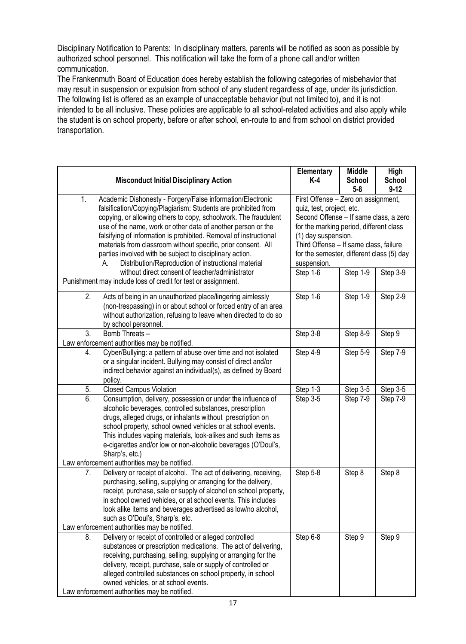Disciplinary Notification to Parents: In disciplinary matters, parents will be notified as soon as possible by authorized school personnel. This notification will take the form of a phone call and/or written communication.

The Frankenmuth Board of Education does hereby establish the following categories of misbehavior that may result in suspension or expulsion from school of any student regardless of age, under its jurisdiction. The following list is offered as an example of unacceptable behavior (but not limited to), and it is not intended to be all inclusive. These policies are applicable to all school-related activities and also apply while the student is on school property, before or after school, en-route to and from school on district provided transportation.

| <b>Misconduct Initial Disciplinary Action</b>                                                                               | Elementary<br>K-4                                        | <b>Middle</b><br>School | <b>High</b><br>School |  |
|-----------------------------------------------------------------------------------------------------------------------------|----------------------------------------------------------|-------------------------|-----------------------|--|
|                                                                                                                             |                                                          | $5-8$                   | $9 - 12$              |  |
| 1.<br>Academic Dishonesty - Forgery/False information/Electronic                                                            | First Offense - Zero on assignment,                      |                         |                       |  |
| falsification/Copying/Plagiarism: Students are prohibited from                                                              | quiz, test, project, etc.                                |                         |                       |  |
| copying, or allowing others to copy, schoolwork. The fraudulent                                                             | Second Offense - If same class, a zero                   |                         |                       |  |
| use of the name, work or other data of another person or the                                                                | for the marking period, different class                  |                         |                       |  |
| falsifying of information is prohibited. Removal of instructional                                                           | (1) day suspension.                                      |                         |                       |  |
| materials from classroom without specific, prior consent. All                                                               | Third Offense - If same class, failure                   |                         |                       |  |
| parties involved with be subject to disciplinary action.<br>Distribution/Reproduction of instructional material<br>А.       | for the semester, different class (5) day<br>suspension. |                         |                       |  |
| without direct consent of teacher/administrator                                                                             | Step 1-6                                                 | Step 1-9                | Step 3-9              |  |
| Punishment may include loss of credit for test or assignment.                                                               |                                                          |                         |                       |  |
|                                                                                                                             |                                                          |                         |                       |  |
| 2.<br>Acts of being in an unauthorized place/lingering aimlessly                                                            | Step 1-6                                                 | Step 1-9                | Step 2-9              |  |
| (non-trespassing) in or about school or forced entry of an area                                                             |                                                          |                         |                       |  |
| without authorization, refusing to leave when directed to do so                                                             |                                                          |                         |                       |  |
| by school personnel.                                                                                                        |                                                          |                         |                       |  |
| Bomb Threats-<br>3.                                                                                                         | Step 3-8                                                 | Step 8-9                | Step 9                |  |
| Law enforcement authorities may be notified.                                                                                |                                                          |                         |                       |  |
| Cyber/Bullying: a pattern of abuse over time and not isolated<br>4.                                                         | Step 4-9                                                 | Step 5-9                | Step 7-9              |  |
| or a singular incident. Bullying may consist of direct and/or                                                               |                                                          |                         |                       |  |
| indirect behavior against an individual(s), as defined by Board                                                             |                                                          |                         |                       |  |
| policy.<br>Closed Campus Violation<br>5.                                                                                    | Step 1-3                                                 | Step 3-5                | Step 3-5              |  |
| 6.<br>Consumption, delivery, possession or under the influence of                                                           | Step 3-5                                                 | Step 7-9                | Step 7-9              |  |
| alcoholic beverages, controlled substances, prescription                                                                    |                                                          |                         |                       |  |
| drugs, alleged drugs, or inhalants without prescription on                                                                  |                                                          |                         |                       |  |
| school property, school owned vehicles or at school events.                                                                 |                                                          |                         |                       |  |
| This includes vaping materials, look-alikes and such items as                                                               |                                                          |                         |                       |  |
| e-cigarettes and/or low or non-alcoholic beverages (O'Doul's,                                                               |                                                          |                         |                       |  |
| Sharp's, etc.)                                                                                                              |                                                          |                         |                       |  |
| Law enforcement authorities may be notified.                                                                                |                                                          |                         |                       |  |
| Delivery or receipt of alcohol. The act of delivering, receiving,<br>7.                                                     | Step 5-8                                                 | Step 8                  | Step 8                |  |
| purchasing, selling, supplying or arranging for the delivery,                                                               |                                                          |                         |                       |  |
| receipt, purchase, sale or supply of alcohol on school property,                                                            |                                                          |                         |                       |  |
| in school owned vehicles, or at school events. This includes                                                                |                                                          |                         |                       |  |
| look alike items and beverages advertised as low/no alcohol,                                                                |                                                          |                         |                       |  |
| such as O'Doul's, Sharp's, etc.                                                                                             |                                                          |                         |                       |  |
|                                                                                                                             | Law enforcement authorities may be notified.             |                         |                       |  |
| Delivery or receipt of controlled or alleged controlled<br>8.                                                               | Step 6-8                                                 | Step 9                  | Step 9                |  |
| substances or prescription medications. The act of delivering,                                                              |                                                          |                         |                       |  |
| receiving, purchasing, selling, supplying or arranging for the                                                              |                                                          |                         |                       |  |
| delivery, receipt, purchase, sale or supply of controlled or<br>alleged controlled substances on school property, in school |                                                          |                         |                       |  |
| owned vehicles, or at school events.                                                                                        |                                                          |                         |                       |  |
| Law enforcement authorities may be notified.                                                                                |                                                          |                         |                       |  |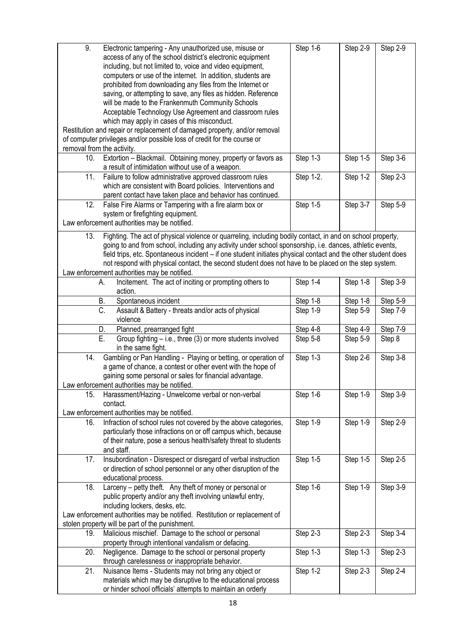| 9.                                                                                                                                                                                                                                                                                                                                                                                                                                                                                                     | Electronic tampering - Any unauthorized use, misuse or<br>access of any of the school district's electronic equipment<br>including, but not limited to, voice and video equipment,<br>computers or use of the internet. In addition, students are<br>prohibited from downloading any files from the Internet or<br>saving, or attempting to save, any files as hidden. Reference<br>will be made to the Frankenmuth Community Schools<br>Acceptable Technology Use Agreement and classroom rules | Step 1-6  | Step 2-9 | Step 2-9                     |
|--------------------------------------------------------------------------------------------------------------------------------------------------------------------------------------------------------------------------------------------------------------------------------------------------------------------------------------------------------------------------------------------------------------------------------------------------------------------------------------------------------|--------------------------------------------------------------------------------------------------------------------------------------------------------------------------------------------------------------------------------------------------------------------------------------------------------------------------------------------------------------------------------------------------------------------------------------------------------------------------------------------------|-----------|----------|------------------------------|
| removal from the activity.                                                                                                                                                                                                                                                                                                                                                                                                                                                                             | which may apply in cases of this misconduct.<br>Restitution and repair or replacement of damaged property, and/or removal<br>of computer privileges and/or possible loss of credit for the course or                                                                                                                                                                                                                                                                                             |           |          |                              |
| 10.                                                                                                                                                                                                                                                                                                                                                                                                                                                                                                    | Extortion - Blackmail. Obtaining money, property or favors as<br>a result of intimidation without use of a weapon.                                                                                                                                                                                                                                                                                                                                                                               | Step 1-3  | Step 1-5 | Step 3-6                     |
| 11.                                                                                                                                                                                                                                                                                                                                                                                                                                                                                                    | Failure to follow administrative approved classroom rules<br>which are consistent with Board policies. Interventions and<br>parent contact have taken place and behavior has continued.                                                                                                                                                                                                                                                                                                          | Step 1-2. | Step 1-2 | $\overline{\text{Step 2-3}}$ |
| 12.                                                                                                                                                                                                                                                                                                                                                                                                                                                                                                    | False Fire Alarms or Tampering with a fire alarm box or<br>system or firefighting equipment.<br>Law enforcement authorities may be notified.                                                                                                                                                                                                                                                                                                                                                     | Step 1-5  | Step 3-7 | Step 5-9                     |
| Fighting. The act of physical violence or quarreling, including bodily contact, in and on school property,<br>13.<br>going to and from school, including any activity under school sponsorship, i.e. dances, athletic events,<br>field trips, etc. Spontaneous incident - if one student initiates physical contact and the other student does<br>not respond with physical contact, the second student does not have to be placed on the step system.<br>Law enforcement authorities may be notified. |                                                                                                                                                                                                                                                                                                                                                                                                                                                                                                  |           |          |                              |
|                                                                                                                                                                                                                                                                                                                                                                                                                                                                                                        | Incitement. The act of inciting or prompting others to<br>А.<br>action.                                                                                                                                                                                                                                                                                                                                                                                                                          | Step 1-4  | Step 1-8 | Step 3-9                     |
|                                                                                                                                                                                                                                                                                                                                                                                                                                                                                                        | Spontaneous incident<br>В.                                                                                                                                                                                                                                                                                                                                                                                                                                                                       | Step 1-8  | Step 1-8 | Step 5-9                     |
|                                                                                                                                                                                                                                                                                                                                                                                                                                                                                                        | Assault & Battery - threats and/or acts of physical<br>С.<br>violence                                                                                                                                                                                                                                                                                                                                                                                                                            | Step 1-9  | Step 5-9 | Step 7-9                     |
|                                                                                                                                                                                                                                                                                                                                                                                                                                                                                                        | Planned, prearranged fight<br>D.                                                                                                                                                                                                                                                                                                                                                                                                                                                                 | Step 4-8  | Step 4-9 | Step 7-9                     |
|                                                                                                                                                                                                                                                                                                                                                                                                                                                                                                        | Group fighting - i.e., three (3) or more students involved<br>Е.<br>in the same fight.                                                                                                                                                                                                                                                                                                                                                                                                           | Step 5-8  | Step 5-9 | Step 8                       |
| 14.                                                                                                                                                                                                                                                                                                                                                                                                                                                                                                    | Gambling or Pan Handling - Playing or betting, or operation of<br>a game of chance, a contest or other event with the hope of<br>gaining some personal or sales for financial advantage.<br>Law enforcement authorities may be notified.                                                                                                                                                                                                                                                         | Step 1-3  | Step 2-6 | Step 3-8                     |
| 15.                                                                                                                                                                                                                                                                                                                                                                                                                                                                                                    | Harassment/Hazing - Unwelcome verbal or non-verbal<br>contact.<br>Law enforcement authorities may be notified.                                                                                                                                                                                                                                                                                                                                                                                   | Step 1-6  | Step 1-9 | Step 3-9                     |
| 16.                                                                                                                                                                                                                                                                                                                                                                                                                                                                                                    | Infraction of school rules not covered by the above categories,<br>particularly those infractions on or off campus which, because<br>of their nature, pose a serious health/safety threat to students<br>and staff.                                                                                                                                                                                                                                                                              | Step 1-9  | Step 1-9 | Step 2-9                     |
| 17.                                                                                                                                                                                                                                                                                                                                                                                                                                                                                                    | Insubordination - Disrespect or disregard of verbal instruction<br>or direction of school personnel or any other disruption of the<br>educational process.                                                                                                                                                                                                                                                                                                                                       | Step 1-5  | Step 1-5 | Step 2-5                     |
| $\overline{18}$                                                                                                                                                                                                                                                                                                                                                                                                                                                                                        | Larceny - petty theft. Any theft of money or personal or<br>public property and/or any theft involving unlawful entry,<br>including lockers, desks, etc.<br>Law enforcement authorities may be notified. Restitution or replacement of<br>stolen property will be part of the punishment.                                                                                                                                                                                                        | Step 1-6  | Step 1-9 | Step 3-9                     |
| 19.                                                                                                                                                                                                                                                                                                                                                                                                                                                                                                    | Malicious mischief. Damage to the school or personal<br>property through intentional vandalism or defacing.                                                                                                                                                                                                                                                                                                                                                                                      | Step 2-3  | Step 2-3 | Step 3-4                     |
| 20.                                                                                                                                                                                                                                                                                                                                                                                                                                                                                                    | Negligence. Damage to the school or personal property<br>through carelessness or inappropriate behavior.                                                                                                                                                                                                                                                                                                                                                                                         | Step 1-3  | Step 1-3 | Step 2-3                     |
| 21.                                                                                                                                                                                                                                                                                                                                                                                                                                                                                                    | Nuisance Items - Students may not bring any object or<br>materials which may be disruptive to the educational process<br>or hinder school officials' attempts to maintain an orderly                                                                                                                                                                                                                                                                                                             | Step 1-2  | Step 2-3 | Step 2-4                     |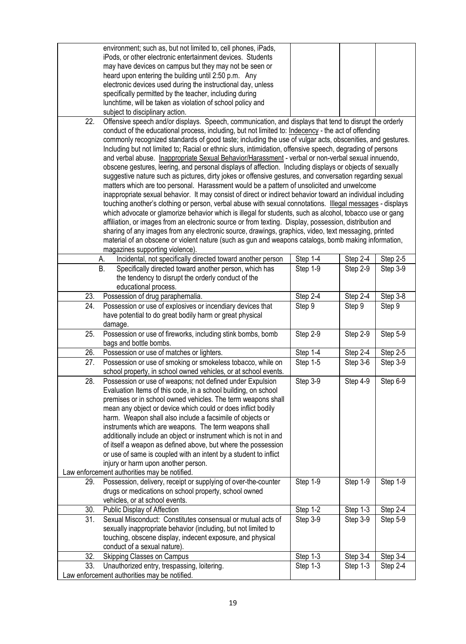|                                              | environment; such as, but not limited to, cell phones, iPads,                                                        |          |                       |          |
|----------------------------------------------|----------------------------------------------------------------------------------------------------------------------|----------|-----------------------|----------|
|                                              | iPods, or other electronic entertainment devices. Students                                                           |          |                       |          |
|                                              | may have devices on campus but they may not be seen or                                                               |          |                       |          |
|                                              | heard upon entering the building until 2:50 p.m. Any<br>electronic devices used during the instructional day, unless |          |                       |          |
|                                              | specifically permitted by the teacher, including during                                                              |          |                       |          |
|                                              | lunchtime, will be taken as violation of school policy and                                                           |          |                       |          |
|                                              | subject to disciplinary action.                                                                                      |          |                       |          |
| 22.                                          | Offensive speech and/or displays. Speech, communication, and displays that tend to disrupt the orderly               |          |                       |          |
|                                              | conduct of the educational process, including, but not limited to: Indecency - the act of offending                  |          |                       |          |
|                                              | commonly recognized standards of good taste; including the use of vulgar acts, obscenities, and gestures.            |          |                       |          |
|                                              | Including but not limited to; Racial or ethnic slurs, intimidation, offensive speech, degrading of persons           |          |                       |          |
|                                              | and verbal abuse. Inappropriate Sexual Behavior/Harassment - verbal or non-verbal sexual innuendo,                   |          |                       |          |
|                                              | obscene gestures, leering, and personal displays of affection. Including displays or objects of sexually             |          |                       |          |
|                                              | suggestive nature such as pictures, dirty jokes or offensive gestures, and conversation regarding sexual             |          |                       |          |
|                                              | matters which are too personal. Harassment would be a pattern of unsolicited and unwelcome                           |          |                       |          |
|                                              | inappropriate sexual behavior. It may consist of direct or indirect behavior toward an individual including          |          |                       |          |
|                                              | touching another's clothing or person, verbal abuse with sexual connotations. Illegal messages - displays            |          |                       |          |
|                                              | which advocate or glamorize behavior which is illegal for students, such as alcohol, tobacco use or gang             |          |                       |          |
|                                              | affiliation, or images from an electronic source or from texting. Display, possession, distribution and              |          |                       |          |
|                                              | sharing of any images from any electronic source, drawings, graphics, video, text messaging, printed                 |          |                       |          |
|                                              | material of an obscene or violent nature (such as gun and weapons catalogs, bomb making information,                 |          |                       |          |
|                                              | magazines supporting violence).                                                                                      |          |                       |          |
|                                              | Incidental, not specifically directed toward another person<br>A.                                                    | Step 1-4 | Step 2-4              | Step 2-5 |
|                                              | Specifically directed toward another person, which has<br>В.                                                         | Step 1-9 | Step 2-9              | Step 3-9 |
|                                              | the tendency to disrupt the orderly conduct of the                                                                   |          |                       |          |
|                                              | educational process.                                                                                                 |          |                       |          |
| 23.                                          | Possession of drug paraphernalia.                                                                                    | Step 2-4 | $\overline{Step 2-4}$ | Step 3-8 |
| 24.                                          | Possession or use of explosives or incendiary devices that                                                           | Step 9   | Step 9                | Step 9   |
|                                              | have potential to do great bodily harm or great physical                                                             |          |                       |          |
|                                              | damage.                                                                                                              | Step 2-9 |                       |          |
| 25.                                          | Possession or use of fireworks, including stink bombs, bomb<br>bags and bottle bombs.                                |          | Step 2-9              | Step 5-9 |
| 26.                                          | Possession or use of matches or lighters.                                                                            | Step 1-4 | Step 2-4              | Step 2-5 |
| 27.                                          | Possession or use of smoking or smokeless tobacco, while on                                                          | Step 1-5 | Step 3-6              | Step 3-9 |
|                                              | school property, in school owned vehicles, or at school events.                                                      |          |                       |          |
| 28.                                          | Possession or use of weapons; not defined under Expulsion                                                            | Step 3-9 | Step 4-9              | Step 6-9 |
|                                              | Evaluation Items of this code, in a school building, on school                                                       |          |                       |          |
|                                              | premises or in school owned vehicles. The term weapons shall                                                         |          |                       |          |
|                                              | mean any object or device which could or does inflict bodily                                                         |          |                       |          |
|                                              | harm. Weapon shall also include a facsimile of objects or                                                            |          |                       |          |
|                                              | instruments which are weapons. The term weapons shall                                                                |          |                       |          |
|                                              | additionally include an object or instrument which is not in and                                                     |          |                       |          |
|                                              | of itself a weapon as defined above, but where the possession                                                        |          |                       |          |
|                                              | or use of same is coupled with an intent by a student to inflict                                                     |          |                       |          |
|                                              | injury or harm upon another person.                                                                                  |          |                       |          |
|                                              | Law enforcement authorities may be notified.                                                                         |          |                       |          |
| 29.                                          | Possession, delivery, receipt or supplying of over-the-counter                                                       | Step 1-9 | Step 1-9              | Step 1-9 |
|                                              | drugs or medications on school property, school owned                                                                |          |                       |          |
|                                              | vehicles, or at school events.                                                                                       |          |                       |          |
| 30.                                          | Public Display of Affection                                                                                          | Step 1-2 | Step 1-3              | Step 2-4 |
| 31.                                          | Sexual Misconduct: Constitutes consensual or mutual acts of                                                          | Step 3-9 | Step 3-9              | Step 5-9 |
|                                              | sexually inappropriate behavior (including, but not limited to                                                       |          |                       |          |
|                                              | touching, obscene display, indecent exposure, and physical                                                           |          |                       |          |
|                                              | conduct of a sexual nature).                                                                                         |          |                       |          |
| 32.                                          | Skipping Classes on Campus                                                                                           | Step 1-3 | Step 3-4              | Step 3-4 |
| 33.                                          | Unauthorized entry, trespassing, loitering.                                                                          | Step 1-3 | Step 1-3              | Step 2-4 |
| Law enforcement authorities may be notified. |                                                                                                                      |          |                       |          |